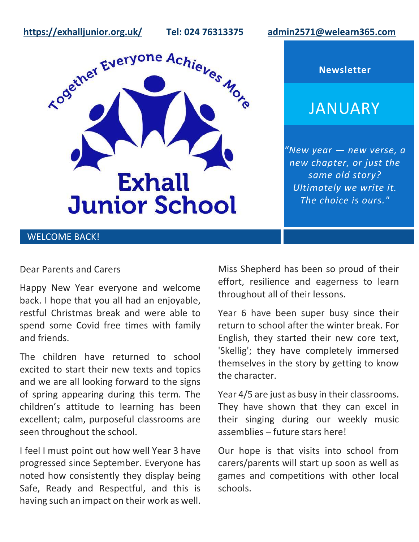**<https://exhalljunior.org.uk/>Tel: 024 76313375 [admin2571@welearn365.com](mailto:admin2571@welearn365.com)**



**Newsletter**

# JANUARY

*"New year — new verse, a new chapter, or just the same old story? Ultimately we write it. The choice is ours."*

# WELCOME BACK!

#### Dear Parents and Carers

Happy New Year everyone and welcome back. I hope that you all had an enjoyable, restful Christmas break and were able to spend some Covid free times with family and friends.

The children have returned to school excited to start their new texts and topics and we are all looking forward to the signs of spring appearing during this term. The children's attitude to learning has been excellent; calm, purposeful classrooms are seen throughout the school.

I feel I must point out how well Year 3 have progressed since September. Everyone has noted how consistently they display being Safe, Ready and Respectful, and this is having such an impact on their work as well. Miss Shepherd has been so proud of their effort, resilience and eagerness to learn throughout all of their lessons.

Year 6 have been super busy since their return to school after the winter break. For English, they started their new core text, 'Skellig'; they have completely immersed themselves in the story by getting to know the character.

Year 4/5 are just as busy in their classrooms. They have shown that they can excel in their singing during our weekly music assemblies – future stars here!

Our hope is that visits into school from carers/parents will start up soon as well as games and competitions with other local schools.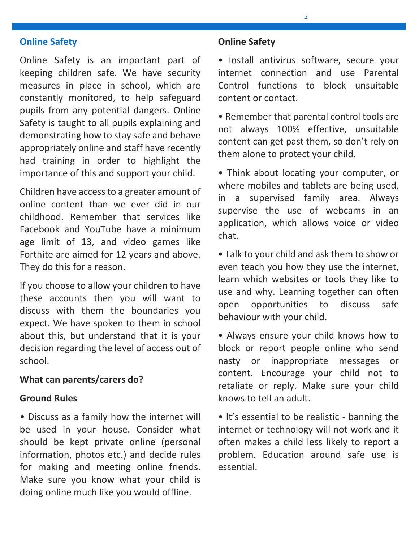## **Online Safety**

Online Safety is an important part of keeping children safe. We have security measures in place in school, which are constantly monitored, to help safeguard pupils from any potential dangers. Online Safety is taught to all pupils explaining and demonstrating how to stay safe and behave appropriately online and staff have recently had training in order to highlight the importance of this and support your child.

Children have access to a greater amount of online content than we ever did in our childhood. Remember that services like Facebook and YouTube have a minimum age limit of 13, and video games like Fortnite are aimed for 12 years and above. They do this for a reason.

If you choose to allow your children to have these accounts then you will want to discuss with them the boundaries you expect. We have spoken to them in school about this, but understand that it is your decision regarding the level of access out of school.

#### **What can parents/carers do?**

#### **Ground Rules**

• Discuss as a family how the internet will be used in your house. Consider what should be kept private online (personal information, photos etc.) and decide rules for making and meeting online friends. Make sure you know what your child is doing online much like you would offline.

## **Online Safety**

• Install antivirus software, secure your internet connection and use Parental Control functions to block unsuitable content or contact.

 $\overline{2}$ 

• Remember that parental control tools are not always 100% effective, unsuitable content can get past them, so don't rely on them alone to protect your child.

• Think about locating your computer, or where mobiles and tablets are being used, in a supervised family area. Always supervise the use of webcams in an application, which allows voice or video chat.

• Talk to your child and ask them to show or even teach you how they use the internet, learn which websites or tools they like to use and why. Learning together can often open opportunities to discuss safe behaviour with your child.

• Always ensure your child knows how to block or report people online who send nasty or inappropriate messages or content. Encourage your child not to retaliate or reply. Make sure your child knows to tell an adult.

• It's essential to be realistic - banning the internet or technology will not work and it often makes a child less likely to report a problem. Education around safe use is essential.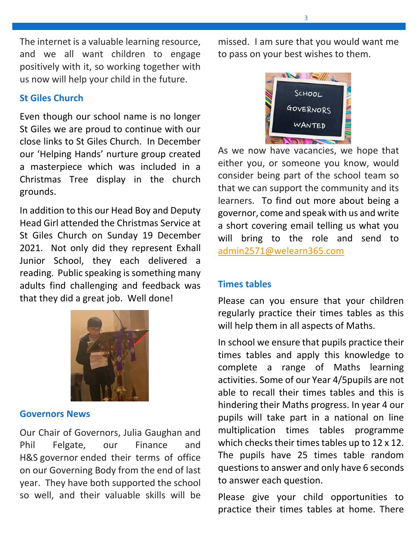The internet is a valuable learning resource, and we all want children to engage positively with it, so working together with us now will help your child in the future.

# **St Giles Church**

Even though our school name is no longer St Giles we are proud to continue with our close links to St Giles Church. In December our 'Helping Hands' nurture group created a masterpiece which was included in a Christmas Tree display in the church grounds.

In addition to this our Head Boy and Deputy Head Girl attended the Christmas Service at St Giles Church on Sunday 19 December 2021. Not only did they represent Exhall Junior School, they each delivered a reading. Public speaking is something many adults find challenging and feedback was that they did a great job. Well done!



## **Governors News**

Our Chair of Governors, Julia Gaughan and Phil Felgate, our Finance and H&S governor ended their terms of office on our Governing Body from the end of last year. They have both supported the school so well, and their valuable skills will be

missed. I am sure that you would want me to pass on your best wishes to them.



As we now have vacancies, we hope that either you, or someone you know, would consider being part of the school team so that we can support the community and its learners. To find out more about being a governor, come and speak with us and write a short covering email telling us what you will bring to the role and send to [admin2571@welearn365.com](mailto:admin2571@welearn365.com)

## **Times tables**

Please can you ensure that your children regularly practice their times tables as this will help them in all aspects of Maths.

In school we ensure that pupils practice their times tables and apply this knowledge to complete a range of Maths learning activities. Some of our Year 4/5pupils are not able to recall their times tables and this is hindering their Maths progress. In year 4 our pupils will take part in a national on line multiplication times tables programme which checks their times tables up to 12 x 12. The pupils have 25 times table random questions to answer and only have 6 seconds to answer each question.

Please give your child opportunities to practice their times tables at home. There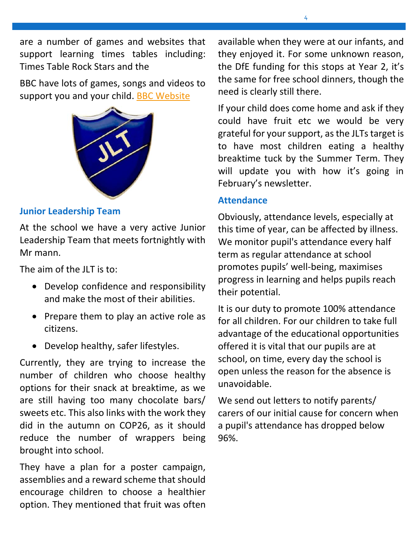are a number of games and websites that support learning times tables including: Times Table Rock Stars and the

BBC have lots of games, songs and videos to support you and your child. [BBC Website](https://www.bbc.co.uk/teach/supermovers/times-table-collection/z4vv6v4)



# **Junior Leadership Team**

At the school we have a very active Junior Leadership Team that meets fortnightly with Mr mann.

The aim of the JLT is to:

- Develop confidence and responsibility and make the most of their abilities.
- Prepare them to play an active role as citizens.
- Develop healthy, safer lifestyles.

Currently, they are trying to increase the number of children who choose healthy options for their snack at breaktime, as we are still having too many chocolate bars/ sweets etc. This also links with the work they did in the autumn on COP26, as it should reduce the number of wrappers being brought into school.

They have a plan for a poster campaign, assemblies and a reward scheme that should encourage children to choose a healthier option. They mentioned that fruit was often available when they were at our infants, and they enjoyed it. For some unknown reason, the DfE funding for this stops at Year 2, it's the same for free school dinners, though the need is clearly still there.

If your child does come home and ask if they could have fruit etc we would be very grateful for your support, as the JLTs target is to have most children eating a healthy breaktime tuck by the Summer Term. They will update you with how it's going in February's newsletter.

#### **Attendance**

Obviously, attendance levels, especially at this time of year, can be affected by illness. We monitor pupil's attendance every half term as regular attendance at school promotes pupils' well-being, maximises progress in learning and helps pupils reach their potential.

It is our duty to promote 100% attendance for all children. For our children to take full advantage of the educational opportunities offered it is vital that our pupils are at school, on time, every day the school is open unless the reason for the absence is unavoidable.

We send out letters to notify parents/ carers of our initial cause for concern when a pupil's attendance has dropped below 96%.